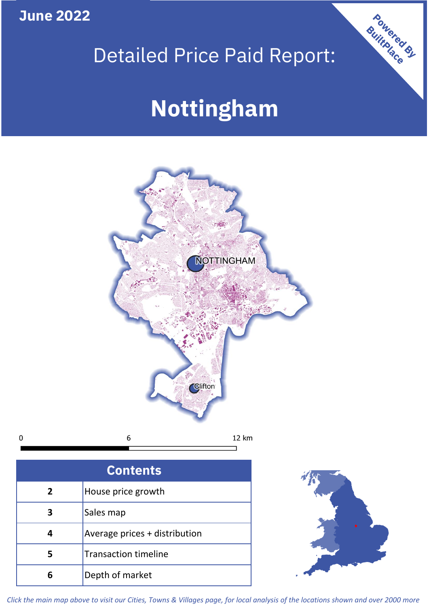**June 2022**

 $\mathbf 0$ 

# Detailed Price Paid Report:

# **Nottingham**



| <b>Contents</b> |                               |  |  |
|-----------------|-------------------------------|--|--|
| $\mathbf{2}$    | House price growth            |  |  |
| 3               | Sales map                     |  |  |
|                 | Average prices + distribution |  |  |
| 5               | <b>Transaction timeline</b>   |  |  |
|                 | Depth of market               |  |  |



Powered By

*Click the main map above to visit our Cities, Towns & Villages page, for local analysis of the locations shown and over 2000 more*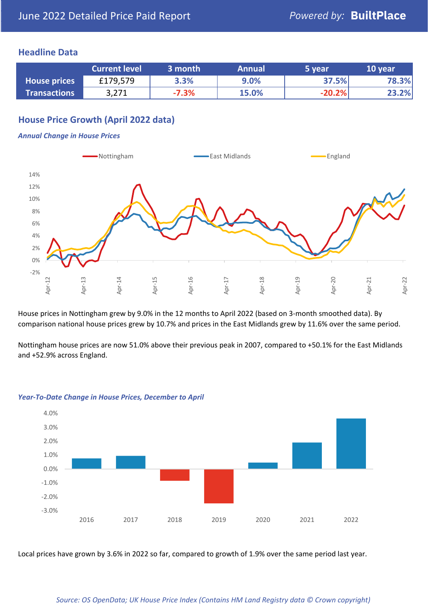### **Headline Data**

|                     | <b>Current level</b> | 3 month | <b>Annual</b> | 5 year   | 10 year |
|---------------------|----------------------|---------|---------------|----------|---------|
| <b>House prices</b> | £179,579             | 3.3%    | 9.0%          | 37.5%    | 78.3%   |
| <b>Transactions</b> | 3,271                | $-7.3%$ | 15.0%         | $-20.2%$ | 23.2%   |

# **House Price Growth (April 2022 data)**

#### *Annual Change in House Prices*



House prices in Nottingham grew by 9.0% in the 12 months to April 2022 (based on 3-month smoothed data). By comparison national house prices grew by 10.7% and prices in the East Midlands grew by 11.6% over the same period.

Nottingham house prices are now 51.0% above their previous peak in 2007, compared to +50.1% for the East Midlands and +52.9% across England.



#### *Year-To-Date Change in House Prices, December to April*

Local prices have grown by 3.6% in 2022 so far, compared to growth of 1.9% over the same period last year.

#### *Source: OS OpenData; UK House Price Index (Contains HM Land Registry data © Crown copyright)*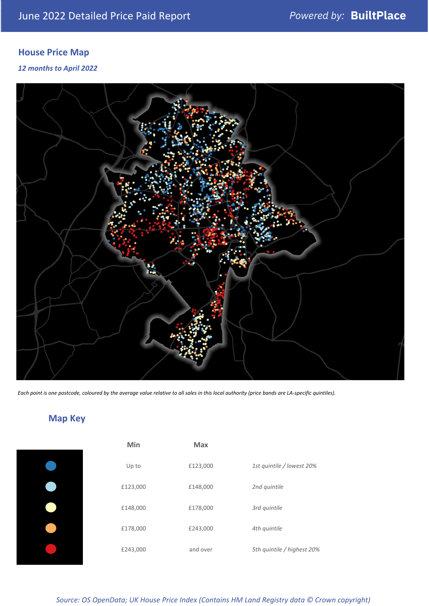# **House Price Map**

*12 months to April 2022*



*Each point is one postcode, coloured by the average value relative to all sales in this local authority (price bands are LA-specific quintiles).*

# **Map Key**

| Up to  |
|--------|
| £123,0 |
| £148,0 |
| £178,0 |
| £243,0 |
|        |

| Min      | <b>Max</b> |                            |
|----------|------------|----------------------------|
| Up to    | £123,000   | 1st quintile / lowest 20%  |
| £123,000 | £148,000   | 2nd quintile               |
| £148,000 | £178,000   | 3rd quintile               |
| £178,000 | £243,000   | 4th quintile               |
| £243,000 | and over   | 5th quintile / highest 20% |

# *Source: OS OpenData; UK House Price Index (Contains HM Land Registry data © Crown copyright)*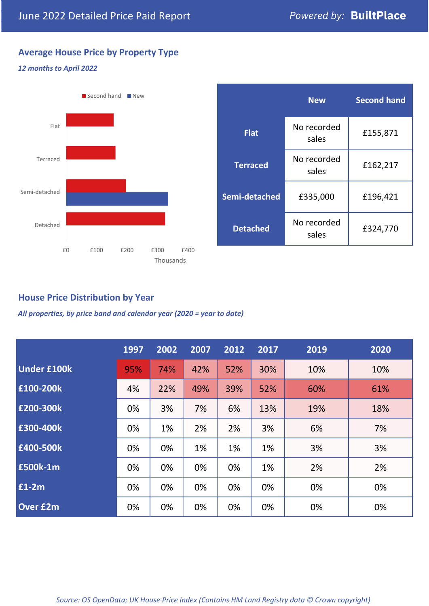# **Average House Price by Property Type**

### *12 months to April 2022*



|                 | <b>New</b>           | <b>Second hand</b> |  |  |
|-----------------|----------------------|--------------------|--|--|
| <b>Flat</b>     | No recorded<br>sales | £155,871           |  |  |
| <b>Terraced</b> | No recorded<br>sales | £162,217           |  |  |
| Semi-detached   | £335,000             | £196,421           |  |  |
| <b>Detached</b> | No recorded<br>sales | £324,770           |  |  |

# **House Price Distribution by Year**

*All properties, by price band and calendar year (2020 = year to date)*

|                    | 1997 | 2002 | 2007 | 2012 | 2017 | 2019 | 2020 |
|--------------------|------|------|------|------|------|------|------|
| <b>Under £100k</b> | 95%  | 74%  | 42%  | 52%  | 30%  | 10%  | 10%  |
| £100-200k          | 4%   | 22%  | 49%  | 39%  | 52%  | 60%  | 61%  |
| £200-300k          | 0%   | 3%   | 7%   | 6%   | 13%  | 19%  | 18%  |
| £300-400k          | 0%   | 1%   | 2%   | 2%   | 3%   | 6%   | 7%   |
| £400-500k          | 0%   | 0%   | 1%   | 1%   | 1%   | 3%   | 3%   |
| <b>£500k-1m</b>    | 0%   | 0%   | 0%   | 0%   | 1%   | 2%   | 2%   |
| £1-2m              | 0%   | 0%   | 0%   | 0%   | 0%   | 0%   | 0%   |
| <b>Over £2m</b>    | 0%   | 0%   | 0%   | 0%   | 0%   | 0%   | 0%   |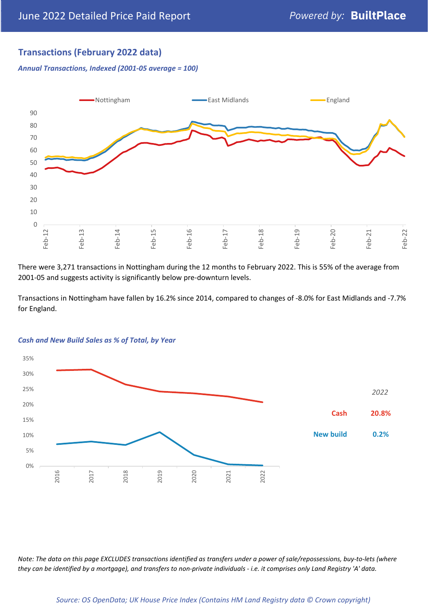# **Transactions (February 2022 data)**

*Annual Transactions, Indexed (2001-05 average = 100)*



There were 3,271 transactions in Nottingham during the 12 months to February 2022. This is 55% of the average from 2001-05 and suggests activity is significantly below pre-downturn levels.

Transactions in Nottingham have fallen by 16.2% since 2014, compared to changes of -8.0% for East Midlands and -7.7% for England.



#### *Cash and New Build Sales as % of Total, by Year*

*Note: The data on this page EXCLUDES transactions identified as transfers under a power of sale/repossessions, buy-to-lets (where they can be identified by a mortgage), and transfers to non-private individuals - i.e. it comprises only Land Registry 'A' data.*